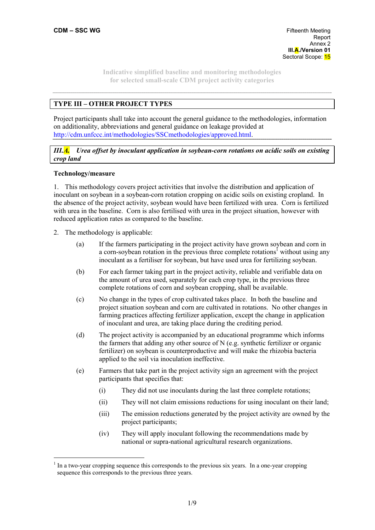**CDM – SSC WG Fifteenth Meeting Report** to the contract of the contract of the contract of the contract of the contract of the contract of the contract of the contract of the contract of the contract of the contract of the contract of the contract of th Annex 2  **III.A./Version 01**  Sectoral Scope: 15

> **Indicative simplified baseline and monitoring methodologies for selected small-scale CDM project activity categories**

# **TYPE III – OTHER PROJECT TYPES**

Project participants shall take into account the general guidance to the methodologies, information on additionality, abbreviations and general guidance on leakage provided at http://cdm.unfccc.int/methodologies/SSCmethodologies/approved.html.

## *III.A. Urea offset by inoculant application in soybean-corn rotations on acidic soils on existing crop land*

## **Technology/measure**

 $\overline{a}$ 

1. This methodology covers project activities that involve the distribution and application of inoculant on soybean in a soybean-corn rotation cropping on acidic soils on existing cropland. In the absence of the project activity, soybean would have been fertilized with urea. Corn is fertilized with urea in the baseline. Corn is also fertilised with urea in the project situation, however with reduced application rates as compared to the baseline.

- 2. The methodology is applicable:
	- (a) If the farmers participating in the project activity have grown soybean and corn in a corn-soybean rotation in the previous three complete rotations<sup>1</sup> without using any inoculant as a fertiliser for soybean, but have used urea for fertilizing soybean.
	- (b) For each farmer taking part in the project activity, reliable and verifiable data on the amount of urea used, separately for each crop type, in the previous three complete rotations of corn and soybean cropping, shall be available.
	- (c) No change in the types of crop cultivated takes place. In both the baseline and project situation soybean and corn are cultivated in rotations. No other changes in farming practices affecting fertilizer application, except the change in application of inoculant and urea, are taking place during the crediting period.
	- (d) The project activity is accompanied by an educational programme which informs the farmers that adding any other source of N (e.g. synthetic fertilizer or organic fertilizer) on soybean is counterproductive and will make the rhizobia bacteria applied to the soil via inoculation ineffective.
	- (e) Farmers that take part in the project activity sign an agreement with the project participants that specifies that:
		- (i) They did not use inoculants during the last three complete rotations;
		- (ii) They will not claim emissions reductions for using inoculant on their land;
		- (iii) The emission reductions generated by the project activity are owned by the project participants;
		- (iv) They will apply inoculant following the recommendations made by national or supra-national agricultural research organizations.

<sup>1</sup> In a two-year cropping sequence this corresponds to the previous six years. In a one-year cropping sequence this corresponds to the previous three years.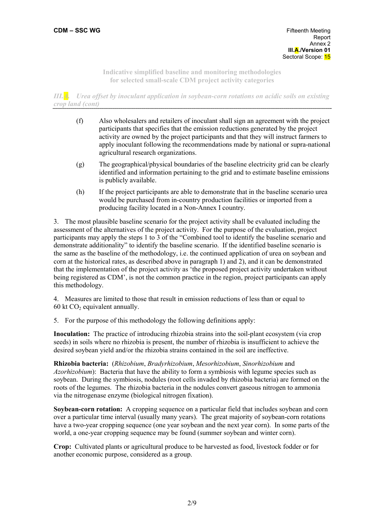*III.A. Urea offset by inoculant application in soybean-corn rotations on acidic soils on existing crop land (cont)* 

- (f) Also wholesalers and retailers of inoculant shall sign an agreement with the project participants that specifies that the emission reductions generated by the project activity are owned by the project participants and that they will instruct farmers to apply inoculant following the recommendations made by national or supra-national agricultural research organizations.
- (g) The geographical/physical boundaries of the baseline electricity grid can be clearly identified and information pertaining to the grid and to estimate baseline emissions is publicly available.
- (h) If the project participants are able to demonstrate that in the baseline scenario urea would be purchased from in-country production facilities or imported from a producing facility located in a Non-Annex I country.

3. The most plausible baseline scenario for the project activity shall be evaluated including the assessment of the alternatives of the project activity. For the purpose of the evaluation, project participants may apply the steps 1 to 3 of the "Combined tool to identify the baseline scenario and demonstrate additionality" to identify the baseline scenario. If the identified baseline scenario is the same as the baseline of the methodology, i.e. the continued application of urea on soybean and corn at the historical rates, as described above in paragraph 1) and 2), and it can be demonstrated that the implementation of the project activity as 'the proposed project activity undertaken without being registered as CDM', is not the common practice in the region, project participants can apply this methodology.

4. Measures are limited to those that result in emission reductions of less than or equal to 60 kt  $CO<sub>2</sub>$  equivalent annually.

5. For the purpose of this methodology the following definitions apply:

**Inoculation:** The practice of introducing rhizobia strains into the soil-plant ecosystem (via crop seeds) in soils where no rhizobia is present, the number of rhizobia is insufficient to achieve the desired soybean yield and/or the rhizobia strains contained in the soil are ineffective.

**Rhizobia bacteria:** (*Rhizobium*, *Bradyrhizobium*, *Mesorhizobium*, *Sinorhizobium* and *Azorhizobium*): Bacteria that have the ability to form a symbiosis with legume species such as soybean. During the symbiosis, nodules (root cells invaded by rhizobia bacteria) are formed on the roots of the legumes. The rhizobia bacteria in the nodules convert gaseous nitrogen to ammonia via the nitrogenase enzyme (biological nitrogen fixation).

**Soybean-corn rotation:** A cropping sequence on a particular field that includes soybean and corn over a particular time interval (usually many years). The great majority of soybean-corn rotations have a two-year cropping sequence (one year soybean and the next year corn). In some parts of the world, a one-year cropping sequence may be found (summer soybean and winter corn).

**Crop:** Cultivated plants or agricultural produce to be harvested as food, livestock fodder or for another economic purpose, considered as a group.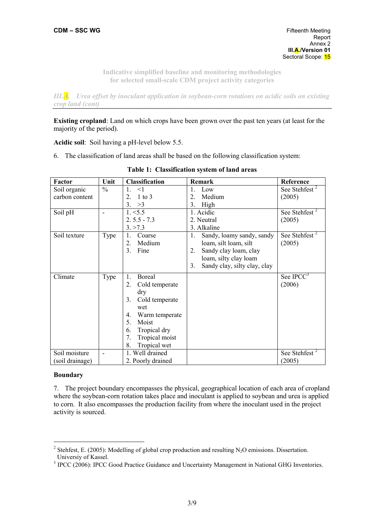*III.A. Urea offset by inoculant application in soybean-corn rotations on acidic soils on existing crop land (cont)* 

**Existing cropland**: Land on which crops have been grown over the past ten years (at least for the majority of the period).

**Acidic soil**: Soil having a pH-level below 5.5.

6. The classification of land areas shall be based on the following classification system:

| Factor          | Unit          | <b>Classification</b>        | Remark                               | Reference                 |
|-----------------|---------------|------------------------------|--------------------------------------|---------------------------|
| Soil organic    | $\frac{0}{0}$ | $\mathbf{1}$<br>$\leq$ 1     | $\mathbf{1}$ .<br>Low                | See Stehfest <sup>2</sup> |
| carbon content  |               | $\overline{2}$<br>$1$ to $3$ | $\overline{2}$ .<br>Medium           | (2005)                    |
|                 |               | 3.<br>>3                     | 3. High                              |                           |
| Soil pH         | L.            | 1. < 5.5                     | 1. Acidic                            | See Stehfest <sup>2</sup> |
|                 |               | $2.5.5 - 7.3$                | 2. Neutral                           | (2005)                    |
|                 |               | 3. > 7.3                     | 3. Alkaline                          |                           |
| Soil texture    | Type          | Coarse<br>1.                 | 1.<br>Sandy, loamy sandy, sandy      | See Stehfest <sup>+</sup> |
|                 |               | Medium<br>$\overline{2}$ .   | loam, silt loam, silt                | (2005)                    |
|                 |               | 3 <sub>1</sub><br>Fine       | Sandy clay loam, clay<br>$2_{\cdot}$ |                           |
|                 |               |                              | loam, silty clay loam                |                           |
|                 |               |                              | Sandy clay, silty clay, clay<br>3.   |                           |
| Climate         | Type          | Boreal<br>$\mathbf{1}$       |                                      | See IPCC <sup>3</sup>     |
|                 |               | $2_{-}$<br>Cold temperate    |                                      | (2006)                    |
|                 |               | dry                          |                                      |                           |
|                 |               | 3.<br>Cold temperate         |                                      |                           |
|                 |               | wet                          |                                      |                           |
|                 |               | Warm temperate<br>4.         |                                      |                           |
|                 |               | 5.<br>Moist                  |                                      |                           |
|                 |               | Tropical dry<br>6.           |                                      |                           |
|                 |               | Tropical moist<br>7.         |                                      |                           |
|                 |               | Tropical wet<br>8.           |                                      |                           |
| Soil moisture   |               | 1. Well drained              |                                      | See Stehfest <sup>2</sup> |
| (soil drainage) |               | 2. Poorly drained            |                                      | (2005)                    |

|  |  | Table 1: Classification system of land areas |  |  |  |
|--|--|----------------------------------------------|--|--|--|
|--|--|----------------------------------------------|--|--|--|

## **Boundary**

 $\overline{a}$ 

7. The project boundary encompasses the physical, geographical location of each area of cropland where the soybean-corn rotation takes place and inoculant is applied to soybean and urea is applied to corn. It also encompasses the production facility from where the inoculant used in the project activity is sourced.

<sup>&</sup>lt;sup>2</sup> Stehfest, E. (2005): Modelling of global crop production and resulting N<sub>2</sub>O emissions. Dissertation. Universiy of Kassel.

<sup>&</sup>lt;sup>3</sup> IPCC (2006): IPCC Good Practice Guidance and Uncertainty Management in National GHG Inventories.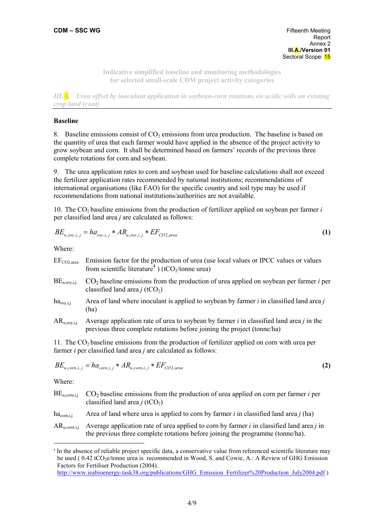**CDM – SSC WG Fifteenth Meeting Report** to the contract of the contract of the contract of the contract of the contract of the contract of the contract of the contract of the contract of the contract of the contract of the contract of the contract of th Annex 2  **III.A./Version 01**  Sectoral Scope: 15

> **Indicative simplified baseline and monitoring methodologies for selected small-scale CDM project activity categories**

*III.A. Urea offset by inoculant application in soybean-corn rotations on acidic soils on existing crop land (cont)* 

## **Baseline**

8. Baseline emissions consist of  $CO<sub>2</sub>$  emissions from urea production. The baseline is based on the quantity of urea that each farmer would have applied in the absence of the project activity to grow soybean and corn. It shall be determined based on farmers' records of the previous three complete rotations for corn and soybean.

9. The urea application rates to corn and soybean used for baseline calculations shall not exceed the fertilizer application rates recommended by national institutions; recommendations of international organisations (like FAO) for the specific country and soil type may be used if recommendations from national institutions/authorities are not available.

10. The  $CO<sub>2</sub>$  baseline emissions from the production of fertilizer applied on soybean per farmer *i* per classified land area *j* are calculated as follows:

$$
BE_{u,soy,i,j} = ha_{soy,i,j} * AR_{u,soy,i,j} * EF_{CO2, \text{area}} \tag{1}
$$

Where:

| $EF_{CO2, \text{urea}}$ | Emission factor for the production of urea (use local values or IPCC values or values<br>from scientific literature <sup>4</sup> ) (tCO <sub>2</sub> /tonne urea) |
|-------------------------|-------------------------------------------------------------------------------------------------------------------------------------------------------------------|
| $BE_{u,soy,i,j}$        | $CO2$ baseline emissions from the production of urea applied on soybean per farmer <i>i</i> per<br>classified land area $j$ (tCO <sub>2</sub> )                   |
| $ha_{\rm soy,i,j}$      | Area of land where inoculant is applied to soybean by farmer $i$ in classified land area $j$<br>(ha)                                                              |

 $AR<sub>u</sub>$ <sub>sov ii</sub> Average application rate of urea to soybean by farmer *i* in classified land area *j* in the previous three complete rotations before joining the project (tonne/ha)

11. The  $CO<sub>2</sub>$  baseline emissions from the production of fertilizer applied on corn with urea per farmer *i* per classified land area *j* are calculated as follows:

$$
BE_{u,corn,i,j} = ha_{corn,i,j} * AR_{u,corn,i,j} * EF_{CO2, \text{urea}} \tag{2}
$$

Where:

 $\overline{a}$ 

| BE <sub>u.com.i.i</sub> | $CO2$ baseline emissions from the production of urea applied on corn per farmer <i>i</i> per<br>classified land area <i>j</i> (tCO <sub>2</sub> )                               |
|-------------------------|---------------------------------------------------------------------------------------------------------------------------------------------------------------------------------|
| $ha_{\text{com.i}}$     | Area of land where urea is applied to corn by farmer i in classified land area $j$ (ha)                                                                                         |
| $AR_{u,corr,i}$         | Average application rate of urea applied to corn by farmer $i$ in classified land area $j$ in<br>the previous three complete rotations before joining the programme (tonne/ha). |

<sup>4</sup> In the absence of reliable project specific data, a conservative value from referenced scientific literature may be used (  $0.42$  tCO<sub>2</sub>e/tonne urea is recommended in Wood, S. and Cowie, A.: A Review of GHG Emission Factors for Fertiliser Production (2004).

http://www.ieabioenergy-task38.org/publications/GHG\_Emission\_Fertilizer%20Production\_July2004.pdf )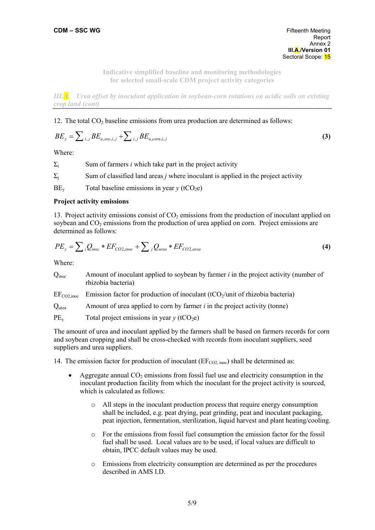*III.A. Urea offset by inoculant application in soybean-corn rotations on acidic soils on existing crop land (cont)* 

## 12. The total  $CO<sub>2</sub>$  baseline emissions from urea production are determined as follows:

$$
BE_y = \sum_{i,j} BE_{u,soy,i,j} + \sum_{i,j} BE_{u,corn,i,j}
$$
 (3)

Where:

| $\Sigma_i$ | Sum of farmers <i>i</i> which take part in the project activity                          |
|------------|------------------------------------------------------------------------------------------|
| $\Sigma_i$ | Sum of classified land areas <i>j</i> where inoculant is applied in the project activity |
| $BE_v$     | Total baseline emissions in year $y$ (tCO <sub>2</sub> e)                                |

#### **Project activity emissions**

13. Project activity emissions consist of  $CO<sub>2</sub>$  emissions from the production of inoculant applied on soybean and  $CO<sub>2</sub>$  emissions from the production of urea applied on corn. Project emissions are determined as follows:

$$
PE_y = \sum_{i} Q_{inoc} * EF_{CO2,inoc} + \sum_{j} Q_{urea} * EF_{CO2,urea}
$$
 (4)

Where:

| Q <sub>inoc</sub>       | Amount of inoculant applied to soybean by farmer $i$ in the project activity (number of<br>rhizobia bacteria) |
|-------------------------|---------------------------------------------------------------------------------------------------------------|
| $EF_{CO2, \text{inoc}}$ | Emission factor for production of inoculant $(tCO_2$ /unit of rhizobia bacteria)                              |
| $Q_{\text{urea}}$       | Amount of urea applied to corn by farmer $i$ in the project activity (tonne)                                  |
| $PE_v$                  | Total project emissions in year $y$ (tCO <sub>2</sub> e)                                                      |

The amount of urea and inoculant applied by the farmers shall be based on farmers records for corn and soybean cropping and shall be cross-checked with records from inoculant suppliers, seed suppliers and urea suppliers.

14. The emission factor for production of inoculant ( $EF_{CO2, \text{inoc}}$ ) shall be determined as:

- Aggregate annual  $CO<sub>2</sub>$  emissions from fossil fuel use and electricity consumption in the inoculant production facility from which the inoculant for the project activity is sourced, which is calculated as follows:
	- $\circ$  All steps in the inoculant production process that require energy consumption shall be included, e.g. peat drying, peat grinding, peat and inoculant packaging, peat injection, fermentation, sterilization, liquid harvest and plant heating/cooling.
	- o For the emissions from fossil fuel consumption the emission factor for the fossil fuel shall be used. Local values are to be used, if local values are difficult to obtain, IPCC default values may be used.
	- o Emissions from electricity consumption are determined as per the procedures described in AMS I<sub>D</sub>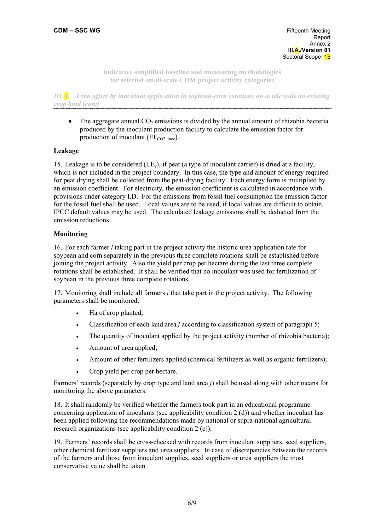*III.A. Urea offset by inoculant application in soybean-corn rotations on acidic soils on existing crop land (cont)* 

• The aggregate annual  $CO<sub>2</sub>$  emissions is divided by the annual amount of rhizobia bacteria produced by the inoculant production facility to calculate the emission factor for production of inoculant ( $EF_{CO2 \text{ inoc}}$ ).

# **Leakage**

15. Leakage is to be considered  $(LE_y)$ , if peat (a type of inoculant carrier) is dried at a facility, which is not included in the project boundary. In this case, the type and amount of energy required for peat drying shall be collected from the peat-drying facility. Each energy form is multiplied by an emission coefficient. For electricity, the emission coefficient is calculated in accordance with provisions under category I.D. For the emissions from fossil fuel consumption the emission factor for the fossil fuel shall be used. Local values are to be used, if local values are difficult to obtain, IPCC default values may be used. The calculated leakage emissions shall be deducted from the emission reductions.

## **Monitoring**

16. For each farmer *i* taking part in the project activity the historic urea application rate for soybean and corn separately in the previous three complete rotations shall be established before joining the project activity. Also the yield per crop per hectare during the last three complete rotations shall be established. It shall be verified that no inoculant was used for fertilization of soybean in the previous three complete rotations.

17. Monitoring shall include all farmers *i* that take part in the project activity. The following parameters shall be monitored:

- Ha of crop planted;
- Classification of each land area *j* according to classification system of paragraph 5;
- The quantity of inoculant applied by the project activity (number of rhizobia bacteria);
- Amount of urea applied;
- Amount of other fertilizers applied (chemical fertilizers as well as organic fertilizers);
- Crop yield per crop per hectare.

Farmers' records (separately by crop type and land area *j*) shall be used along with other means for monitoring the above parameters.

18. It shall randomly be verified whether the farmers took part in an educational programme concerning application of inoculants (see applicability condition 2 (d)) and whether inoculant has been applied following the recommendations made by national or supra-national agricultural research organizations (see applicability condition 2 (e)).

19. Farmers' records shall be cross-checked with records from inoculant suppliers, seed suppliers, other chemical fertilizer suppliers and urea suppliers. In case of discrepancies between the records of the farmers and those from inoculant supplies, seed suppliers or urea suppliers the most conservative value shall be taken.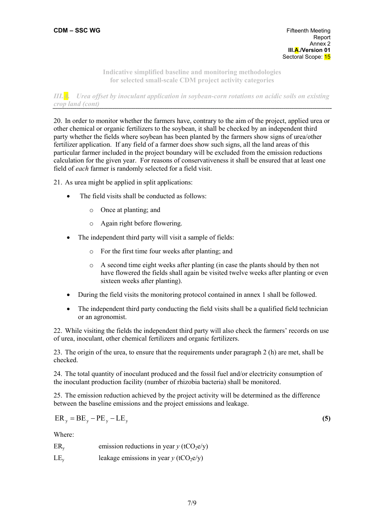*III.A. Urea offset by inoculant application in soybean-corn rotations on acidic soils on existing crop land (cont)* 

20. In order to monitor whether the farmers have, contrary to the aim of the project, applied urea or other chemical or organic fertilizers to the soybean, it shall be checked by an independent third party whether the fields where soybean has been planted by the farmers show signs of urea/other fertilizer application. If any field of a farmer does show such signs, all the land areas of this particular farmer included in the project boundary will be excluded from the emission reductions calculation for the given year. For reasons of conservativeness it shall be ensured that at least one field of *each* farmer is randomly selected for a field visit.

21. As urea might be applied in split applications:

- The field visits shall be conducted as follows:
	- o Once at planting; and
	- o Again right before flowering.
- The independent third party will visit a sample of fields:
	- o For the first time four weeks after planting; and
	- o A second time eight weeks after planting (in case the plants should by then not have flowered the fields shall again be visited twelve weeks after planting or even sixteen weeks after planting).
- During the field visits the monitoring protocol contained in annex 1 shall be followed.
- The independent third party conducting the field visits shall be a qualified field technician or an agronomist.

22. While visiting the fields the independent third party will also check the farmers' records on use of urea, inoculant, other chemical fertilizers and organic fertilizers.

23. The origin of the urea, to ensure that the requirements under paragraph 2 (h) are met, shall be checked.

24. The total quantity of inoculant produced and the fossil fuel and/or electricity consumption of the inoculant production facility (number of rhizobia bacteria) shall be monitored.

25. The emission reduction achieved by the project activity will be determined as the difference between the baseline emissions and the project emissions and leakage.

$$
ER_y = BE_y - PE_y - LE_y \tag{5}
$$

Where:

ER<sub>y</sub> emission reductions in year  $\gamma$  (tCO<sub>2</sub>e/y)

LE<sub>y</sub> leakage emissions in year  $\gamma$  (tCO<sub>2</sub>e/y)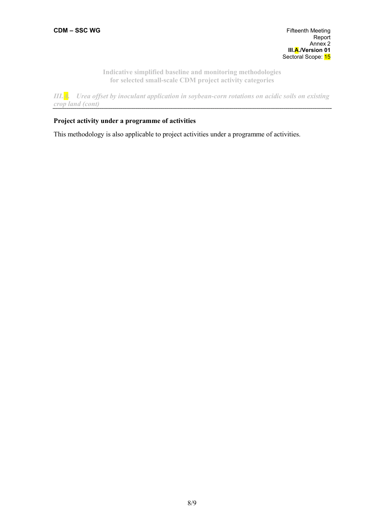*III.A. Urea offset by inoculant application in soybean-corn rotations on acidic soils on existing crop land (cont)* 

## **Project activity under a programme of activities**

This methodology is also applicable to project activities under a programme of activities.